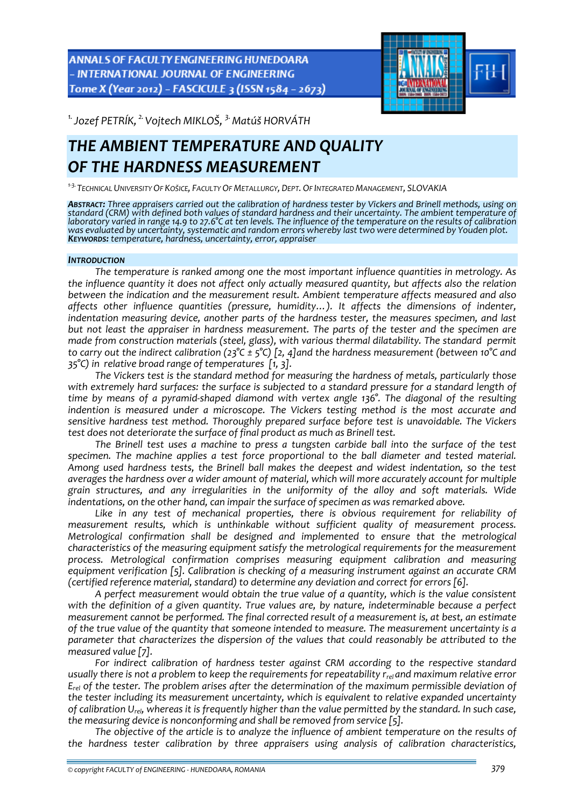**ANNALS OF FACULTY ENGINEERING HUNEDOARA** - INTERNATIONAL JOURNAL OF ENGINEERING Tome X (Year 2012) - FASCICULE 3 (ISSN 1584 - 2673)



*1.Jozef PETRÍK, 2.Vojtech MIKLOŠ, 3.Matúš HORVÁTH* 

# *THE AMBIENT TEMPERATURE AND QUALITY OF THE HARDNESS MEASUREMENT*

*<sup>1</sup>‐3.TECHNICAL UNIVERSITY OF KOŠICE, FACULTY OF METALLURGY, DEPT. OF INTEGRATED MANAGEMENT, SLOVAKIA*

ABSTRACT: Three appraisers carried out the calibration of hardness tester by Vickers and Brinell methods, using on standard (CRM) with defined both values of standard hardness and their uncertainty. The ambient temperature of<br>laboratory varied in range 14.9 to 27.6°C at ten levels. The influence of the temperature on the results of cal was evaluated by uncertainty, systematic and random errors whereby last two were determined by Youden plot.<br>Keyworps: temperature, hardness, uncertainty, error, appraiser

## *INTRODUCTION*

*The temperature is ranked among one the most important influence quantities in metrology. As the influence quantity it does not affect only actually measured quantity, but affects also the relation between the indication and the measurement result. Ambient temperature affects measured and also affects other influence quantities (pressure, humidity…). It affects the dimensions of indenter, indentation measuring device, another parts of the hardness tester, the measures specimen, and last but not least the appraiser in hardness measurement. The parts of the tester and the specimen are made from construction materials (steel, glass), with various thermal dilatability. The standard permit* to carry out the indirect calibration (23°C  $\pm$  5°C) [2, 4] and the hardness measurement (between 10°C and *35°C) in relative broad range of temperatures [1, 3].*

*The Vickers test is the standard method for measuring the hardness of metals, particularly those with extremely hard surfaces: the surface is subjected to a standard pressure for a standard length of time by means of a pyramid‐shaped diamond with vertex angle 136°. The diagonal of the resulting indention is measured under a microscope. The Vickers testing method is the most accurate and sensitive hardness test method. Thoroughly prepared surface before test is unavoidable. The Vickers test does not deteriorate the surface of final product as much as Brinell test.* 

*The Brinell test uses a machine to press a tungsten carbide ball into the surface of the test specimen. The machine applies a test force proportional to the ball diameter and tested material. Among used hardness tests, the Brinell ball makes the deepest and widest indentation, so the test averages the hardness over a wider amount of material, which will more accurately account for multiple grain structures, and any irregularities in the uniformity of the alloy and soft materials. Wide indentations, on the other hand, can impair the surface of specimen as was remarked above.*

*Like in any test of mechanical properties, there is obvious requirement for reliability of measurement results, which is unthinkable without sufficient quality of measurement process. Metrological confirmation shall be designed and implemented to ensure that the metrological characteristics of the measuring equipment satisfy the metrological requirements for the measurement process. Metrological confirmation comprises measuring equipment calibration and measuring equipment verification [5]. Calibration is checking of a measuring instrument against an accurate CRM (certified reference material, standard) to determine any deviation and correct for errors [6].* 

*A perfect measurement would obtain the true value of a quantity, which is the value consistent with the definition of a given quantity. True values are, by nature, indeterminable because a perfect measurement cannot be performed. The final corrected result of a measurement is, at best, an estimate of the true value of the quantity that someone intended to measure. The measurement uncertainty is a parameter that characterizes the dispersion of the values that could reasonably be attributed to the measured value [7].* 

*For indirect calibration of hardness tester against CRM according to the respective standard usually there is not a problem to keep the requirements for repeatability rrel and maximum relative error Erel of the tester. The problem arises after the determination of the maximum permissible deviation of the tester including its measurement uncertainty, which is equivalent to relative expanded uncertainty* of calibration  $U_{rel}$ , whereas it is frequently higher than the value permitted by the standard. In such case, *the measuring device is nonconforming and shall be removed from service [5].*

*The objective of the article is to analyze the influence of ambient temperature on the results of the hardness tester calibration by three appraisers using analysis of calibration characteristics,*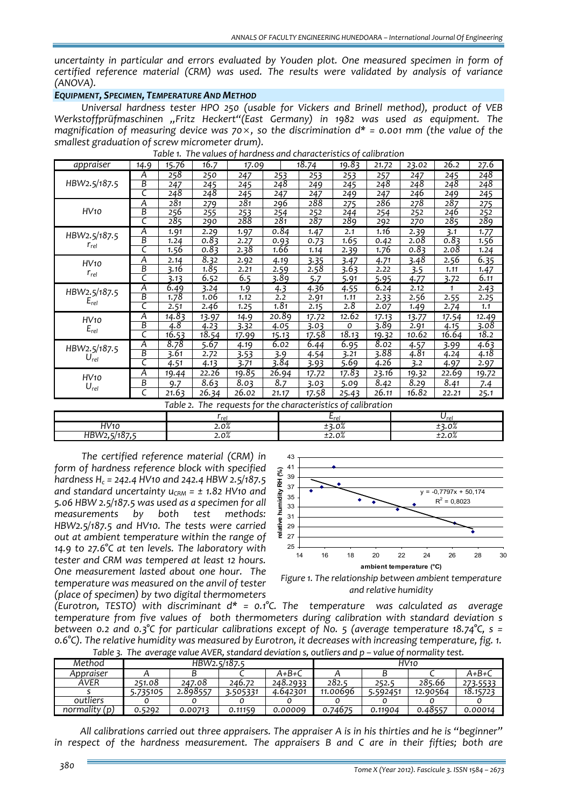*uncertainty in particular and errors evaluated by Youden plot. One measured specimen in form of certified reference material (CRM) was used. The results were validated by analysis of variance (ANOVA).* 

## *EQUIPMENT, SPECIMEN, TEMPERATURE AND METHOD*

*Universal hardness tester HPO 250 (usable for Vickers and Brinell method), product of VEB Werkstoffprüfmaschinen "Fritz Heckert"(East Germany) in 1982 was used as equipment. The magnification of measuring device was 70*×*, so the discrimination d\* = 0.001 mm (the value of the smallest graduation of screw micrometer drum).* 

| appraiser         | 14.9                    | 15.76     | 16.7    | 17.09                                               |                   | 18.74              | 19.83 | 21.72     | 23.02 | 26.2  | 27.6  |
|-------------------|-------------------------|-----------|---------|-----------------------------------------------------|-------------------|--------------------|-------|-----------|-------|-------|-------|
|                   | Α                       | 258       | 250     | 247                                                 | 253               | 253                | 253   | 257       | 247   | 245   | 248   |
| HBW2.5/187.5      | $\overline{B}$          | 247       | 245     | 245                                                 | 248               | 249                | 245   | 248       | 248   | 248   | 248   |
|                   | C                       | 248       | 248     | 245                                                 | 247               | 247                | 249   | 247       | 246   | 249   | 245   |
| HV10              | $\overline{A}$          | 281       | 279     | 281                                                 | 296               | 288                | 275   | 286       | 278   | 287   | 275   |
|                   | B                       | 256       | 255     | 253                                                 | $\frac{254}{281}$ | 252                | 244   | 254       | 252   | 246   | 252   |
|                   | $\overline{\epsilon}$   | 285       | 290     | 288                                                 |                   | 287                | 289   | 292       | 270   | 285   | 289   |
| HBW2.5/187.5      | Α                       | 1.91      | 2.29    | 1.97                                                | 0.84              | 1.47               | 2.1   | 1.16      | 2.39  | 3.1   | 1.77  |
| $r_{rel}$         | B                       | 1.24      | 0.83    | 2.27                                                | 0.93              | 0.73               | 1.65  | 0.42      | 2.08  | 0.83  | 1.56  |
|                   | ट                       | 1.56      | 0.83    | 2.38                                                | 1.66              | 1.14               | 2.39  | 1.76      | 0.83  | 2.08  | 1.24  |
| HV10              | A                       | 2.14      | 8.32    | 2.92                                                | 4.19              | 3.35               | 3.47  | 4.71      | 3.48  | 2.56  | 6.35  |
|                   | $\overline{B}$          | 3.16      | 1.85    | 2.21                                                | 2.59              | 2.58               | 3.63  | 2.22      | 3.5   | 1.11  | 1.47  |
| $r_{rel}$         | $\overline{\mathsf{C}}$ | 3.13      | 6.52    | 6.5                                                 | 3.89              | $\overline{5.7}$   | 5.91  | 5.95      | 4.77  | 3.72  | 6.11  |
| HBW2.5/187.5      | Α                       | 6.49      | 3.24    | 1.9                                                 | 4.3               | 4.36               | 4.55  | 6.24      | 2.12  | 1     | 2.43  |
| $E_{rel}$         | B                       | 1.78      | 1.06    | 1.12                                                | 2.2               | 2.91               | 1.11  | 2.33      | 2.56  | 2.55  | 2.25  |
|                   | C                       | 2.51      | 2.46    | 1.25                                                | 1.81              | 2.15               | 2.8   | 2.07      | 1.49  | 2.74  | 1.1   |
| HV10<br>$E_{rel}$ | Α                       | 14.83     | 13.97   | 14.9                                                | 20.89             | 17.72              | 12.62 | 17.13     | 13.77 | 17.54 | 12.49 |
|                   | B                       | 4.8       | 4.23    | 3.32                                                | 4.05              | 3.03               | 0     | 3.89      | 2.91  | 4.15  | 3.08  |
|                   | C                       | 16.53     | 18.54   | 17.99                                               | 15.13             | 17.58              | 18.13 | 19.32     | 10.62 | 16.64 | 18.2  |
| HBW2.5/187.5      | Ā                       | 8.78      | 5.67    | 4.19                                                | 6.02              | 6.44               | 6.95  | 8.02      | 4.57  | 3.99  | 4.63  |
| $U_{rel}$         | B                       | 3.61      | 2.72    | 3.53                                                | 3.9               | 4.54               | 3.21  | 3.88      | 4.81  | 4.24  | 4.18  |
|                   | $\overline{\mathsf{C}}$ | 4.51      | 4.13    | 3.71                                                | 3.84              | 3.93               | 5.69  | 4.26      | 3.2   | 4.97  | 2.97  |
| HV10<br>$U_{rel}$ | Α                       | 19.44     | 22.26   | 19.85                                               | 26.94             | $\overline{17.72}$ | 17.83 | 23.16     | 19.32 | 22.69 | 19.72 |
|                   | $\boldsymbol{B}$        | 9.7       | 8.63    | 8.03                                                | 8.7               | 3.03               | 5.09  | 8.42      | 8.29  | 8.41  | 7.4   |
|                   | $\overline{\epsilon}$   | 21.63     | 26.34   | 26.02                                               | 21.17             | 17.58              | 25.43 | 26.11     | 16.82 | 22.21 | 25.1  |
|                   |                         | Table 2.  |         | The requests for the characteristics of calibration |                   |                    |       |           |       |       |       |
|                   |                         | $r_{rel}$ |         |                                                     | $E_{rel}$         |                    |       | $U_{rel}$ |       |       |       |
| HV <sub>10</sub>  |                         |           | $2.0\%$ |                                                     |                   | ±3.0%              |       |           | ±3.0% |       |       |
| HBW2,5/187,5      |                         |           | 2.0%    |                                                     |                   | ±2.0%              |       |           | ±2.0% |       |       |

*Table 1. The values of hardness and characteristics of calibration*

*The certified reference material (CRM) in form of hardness reference block with specified hardness Hc = 242.4 HV10 and 242.4 HBW 2.5/187.5 and standard uncertainty*  $u_{CRM} = \pm 1.82$  *HV10 and 5.06 HBW 2.5/187.5 was used as a specimen for all measurements by both test methods: HBW2.5/187.5 and HV10. The tests were carried out at ambient temperature within the range of 14.9 to 27.6°C at ten levels. The laboratory with tester and CRM was tempered at least 12 hours. One measurement lasted about one hour. The temperature was measured on the anvil of tester (place of specimen) by two digital thermometers*





*(Eurotron, TESTO) with discriminant d\* = 0.1°C. The temperature was calculated as average temperature from five values of both thermometers during calibration with standard deviation s between 0.2 and 0.3°C for particular calibrations except of No. 5 (average temperature 18.74°C, s = 0.6°C). The relative humidity was measured by Eurotron, it decreases with increasing temperature, fig. 1.*  Table 3. The average value AVER, standard deviation s, outliers and p – value of normality test.

| Method        | - - - - - -<br>HBW2.5/187.5 |          |          |          | HV10     |          |          |          |
|---------------|-----------------------------|----------|----------|----------|----------|----------|----------|----------|
| Appraiser     |                             |          |          | A+B+C    |          |          |          | A+B+C    |
| AVER          | 251.08                      | 247.08   | 246.72   | 248.2933 | 282.5    | 252.5    | 285.66   | 273.5533 |
|               | 735105.ز                    | 2.898557 | 3.505331 | 4.642301 | 11.00696 | 5.592451 | 12.90564 | 18.15723 |
| outliers      |                             |          |          |          |          |          |          |          |
| normality (p) | 0.5292                      | 0.00713  | 0.11159  | 0.00009  | 0.74675  | 0.11904  | 0.48557  | 0.00014  |

*All calibrations carried out three appraisers. The appraiser A is in his thirties and he is "beginner" in respect of the hardness measurement. The appraisers B and C are in their fifties; both are*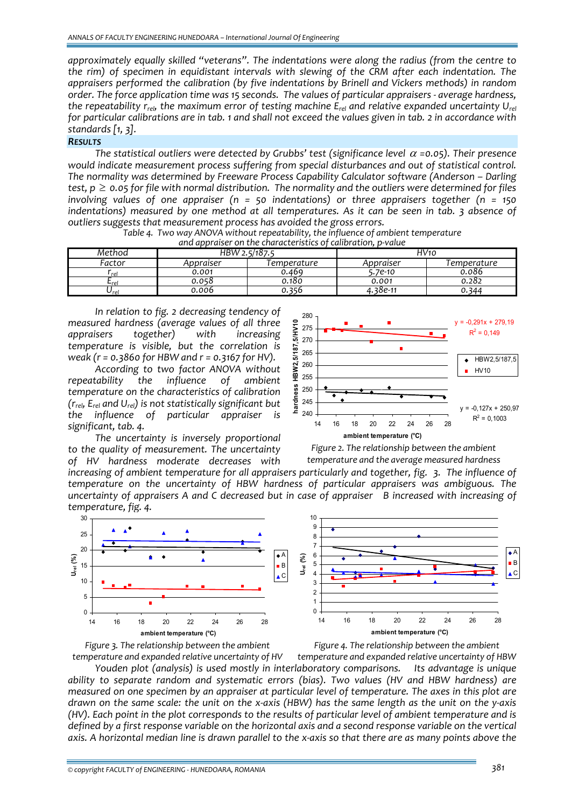*approximately equally skilled "veterans". The indentations were along the radius (from the centre to the rim) of specimen in equidistant intervals with slewing of the CRM after each indentation. The appraisers performed the calibration (by five indentations by Brinell and Vickers methods) in random* order. The force application time was 15 seconds. The values of particular appraisers - average hardness. *the repeatability rrel, the maximum error of testing machine Erel and relative expanded uncertainty Urel* for particular calibrations are in tab. 1 and shall not exceed the values given in tab. 2 in accordance with *standards [1, 3].*

## *RESULTS*

*The statistical outliers were detected by Grubbs' test (significance level* <sup>α</sup> *=0.05). Their presence would indicate measurement process suffering from special disturbances and out of statistical control. The normality was determined by Freeware Process Capability Calculator software (Anderson – Darling* test,  $p \ge 0.05$  for file with normal distribution. The normality and the outliers were determined for files *involving values of one appraiser (n = 50 indentations) or three appraisers together (n = 150 indentations) measured by one method at all temperatures. As it can be seen in tab. 3 absence of outliers suggests that measurement process has avoided the gross errors.* 

| and appraiser on the characteristics of calibration, p-value |               |             |           |             |  |  |  |  |
|--------------------------------------------------------------|---------------|-------------|-----------|-------------|--|--|--|--|
| Method                                                       | HBW 2.5/187.5 |             | HV10      |             |  |  |  |  |
| Factor                                                       | Appraiser     | Temperature | Appraiser | Temperature |  |  |  |  |
| rel                                                          | 0.001         | 0.469       | 5.7e-10   | 0.086       |  |  |  |  |
| <b>L</b> rel                                                 | 0.058         | 0.180       | 0.001     | 0.282       |  |  |  |  |
| Urel                                                         | 0.006         | 0.356       | 4.38e-11  | 0.344       |  |  |  |  |

Table 4. Two way ANOVA without repeatability, the influence of ambient temperature

*In relation to fig. 2 decreasing tendency of measured hardness (average values of all three appraisers together) with increasing temperature is visible, but the correlation is weak (r = 0.3860 for HBW and r = 0.3167 for HV).* 

*According to two factor ANOVA without repeatability the influence of ambient temperature on the characteristics of calibration (rrel, Erel and Urel) is not statistically significant but the influence of particular appraiser is significant, tab. 4.*

*The uncertainty is inversely proportional to the quality of measurement. The uncertainty of HV hardness moderate decreases with*



*Figure 2. The relationship between the ambient temperature and the average measured hardness*

increasing of ambient temperature for all appraisers particularly and together, fig. 3. The influence of *temperature on the uncertainty of HBW hardness of particular appraisers was ambiguous. The* uncertainty of appraisers A and C decreased but in case of appraiser B increased with increasing of *temperature, fig. 4.*



*Figure 3. The relationship between the ambient*

*Figure 4. The relationship between the ambient*

*temperature and expanded relative uncertainty of HV temperature and expanded relative uncertainty of HBW Youden plot (analysis) is used mostly in interlaboratory comparisons. Its advantage is unique ability to separate random and systematic errors (bias). Two values (HV and HBW hardness) are* measured on one specimen by an appraiser at particular level of temperature. The axes in this plot are drawn on the same scale: the unit on the x-axis (HBW) has the same length as the unit on the y-axis (HV). Each point in the plot corresponds to the results of particular level of ambient temperature and is defined by a first response variable on the horizontal axis and a second response variable on the vertical axis. A horizontal median line is drawn parallel to the x-axis so that there are as many points above the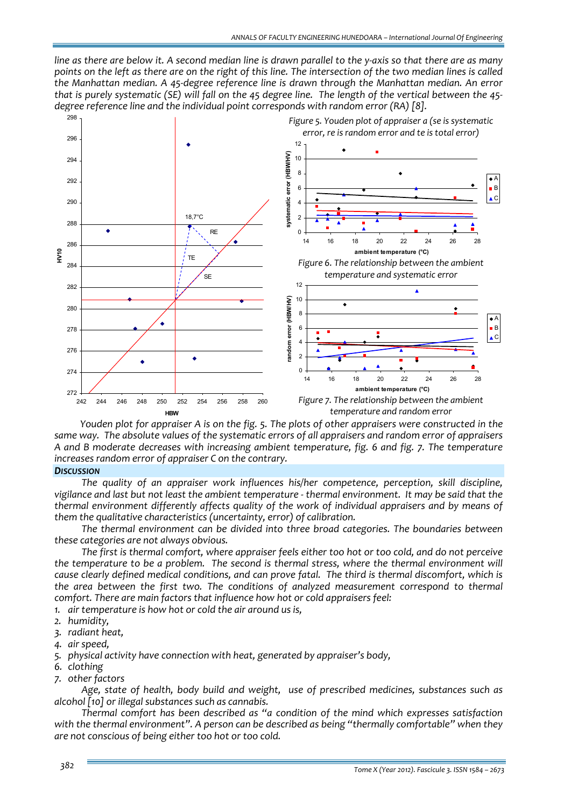line as there are below it. A second median line is drawn parallel to the y-axis so that there are as many points on the left as there are on the right of this line. The intersection of the two median lines is called *the Manhattan median. A 45‐degree reference line is drawn through the Manhattan median. An error* that is purely systematic (SE) will fall on the 45 degree line. The length of the vertical between the 45*degree reference line and the individual point corresponds with random error (RA) [8].*



Youden plot for appraiser A is on the fig. 5. The plots of other appraisers were constructed in the same way. The absolute values of the systematic errors of all appraisers and random error of appraisers *A and B moderate decreases with increasing ambient temperature, fig. 6 and fig. 7. The temperature increases random error of appraiser C on the contrary.*

#### *DISCUSSION*

*The quality of an appraiser work influences his/her competence, perception, skill discipline,* vigilance and last but not least the ambient temperature - thermal environment. It may be said that the *thermal environment differently affects quality of the work of individual appraisers and by means of them the qualitative characteristics (uncertainty, error) of calibration.* 

*The thermal environment can be divided into three broad categories. The boundaries between these categories are not always obvious.*

The first is thermal comfort, where appraiser feels either too hot or too cold, and do not perceive *the temperature to be a problem. The second is thermal stress, where the thermal environment will cause clearly defined medical conditions, and can prove fatal. The third is thermal discomfort, which is the area between the first two. The conditions of analyzed measurement correspond to thermal comfort. There are main factors that influence how hot or cold appraisers feel:*

- *1. air temperature is how hot or cold the air around us is,*
- *2. humidity,*
- *3. radiant heat,*
- *4. air speed,*
- *5. physical activity have connection with heat, generated by appraiser's body,*
- *6. clothing*
- *7. other factors*

*Age, state of health, body build and weight, use of prescribed medicines, substances such as alcohol [10] or illegal substances such as cannabis.*

*Thermal comfort has been described as "a condition of the mind which expresses satisfaction with the thermal environment". A person can be described as being "thermally comfortable" when they are not conscious of being either too hot or too cold.*